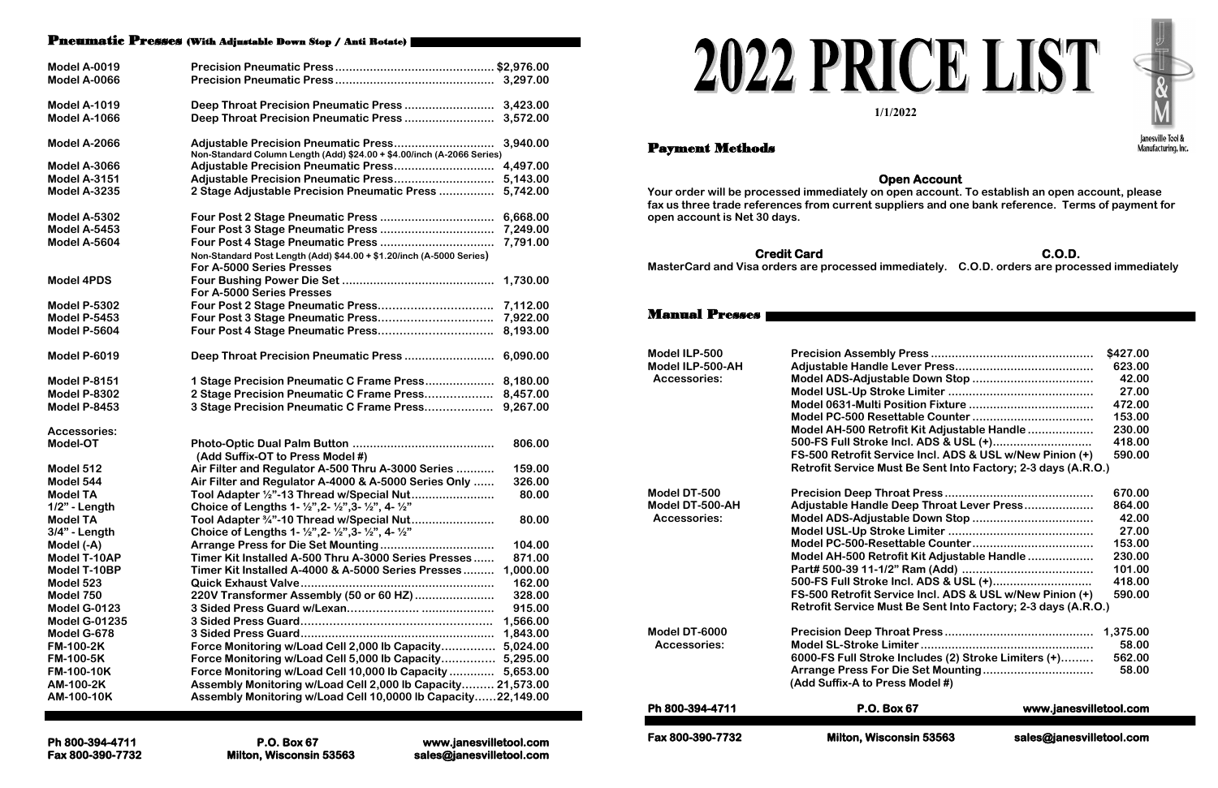### Pneumatic Presses (With Adjustable Down Stop / Anti Rotate)

| <b>Model A-0019</b>  |                                                                                             |          |
|----------------------|---------------------------------------------------------------------------------------------|----------|
| Model A-0066         |                                                                                             |          |
|                      |                                                                                             |          |
| <b>Model A-1019</b>  |                                                                                             |          |
| <b>Model A-1066</b>  |                                                                                             |          |
|                      |                                                                                             |          |
| <b>Model A-2066</b>  |                                                                                             | 3,940.00 |
|                      | Non-Standard Column Length (Add) \$24.00 + \$4.00/inch (A-2066 Series)                      |          |
| <b>Model A-3066</b>  |                                                                                             | 4,497.00 |
| <b>Model A-3151</b>  |                                                                                             | 5,143.00 |
| <b>Model A-3235</b>  | 2 Stage Adjustable Precision Pneumatic Press                                                | 5,742.00 |
| Model A-5302         |                                                                                             | 6,668.00 |
| <b>Model A-5453</b>  |                                                                                             | 7,249.00 |
| Model A-5604         |                                                                                             | 7,791.00 |
|                      | Non-Standard Post Length (Add) \$44.00 + \$1.20/inch (A-5000 Series)                        |          |
|                      | For A-5000 Series Presses                                                                   |          |
| <b>Model 4PDS</b>    |                                                                                             | 1,730.00 |
|                      | For A-5000 Series Presses                                                                   |          |
| <b>Model P-5302</b>  |                                                                                             | 7,112.00 |
| <b>Model P-5453</b>  |                                                                                             | 7,922.00 |
| <b>Model P-5604</b>  |                                                                                             | 8,193.00 |
|                      |                                                                                             |          |
| <b>Model P-6019</b>  |                                                                                             |          |
|                      |                                                                                             |          |
| <b>Model P-8151</b>  | 1 Stage Precision Pneumatic C Frame Press                                                   | 8,180.00 |
| <b>Model P-8302</b>  | 2 Stage Precision Pneumatic C Frame Press                                                   | 8,457.00 |
| <b>Model P-8453</b>  | 3 Stage Precision Pneumatic C Frame Press                                                   | 9,267.00 |
| <b>Accessories:</b>  |                                                                                             |          |
| Model-OT             |                                                                                             | 806.00   |
|                      | (Add Suffix-OT to Press Model #)                                                            |          |
| Model 512            | Air Filter and Regulator A-500 Thru A-3000 Series                                           | 159.00   |
| Model 544            | Air Filter and Regulator A-4000 & A-5000 Series Only                                        | 326.00   |
| <b>Model TA</b>      | Tool Adapter 1/2"-13 Thread w/Special Nut                                                   | 80.00    |
| 1/2" - Length        | Choice of Lengths 1- 1/2", 2- 1/2", 3- 1/2", 4- 1/2"                                        |          |
| <b>Model TA</b>      | Tool Adapter 3/4"-10 Thread w/Special Nut                                                   | 80.00    |
| $3/4"$ - Length      | Choice of Lengths 1- $\frac{1}{2}$ , 2- $\frac{1}{2}$ , 3- $\frac{1}{2}$ , 4- $\frac{1}{2}$ |          |
| Model (-A)           |                                                                                             | 104.00   |
| Model T-10AP         | Timer Kit Installed A-500 Thru A-3000 Series Presses                                        | 871.00   |
| <b>Model T-10BP</b>  | Timer Kit Installed A-4000 & A-5000 Series Presses                                          | 1,000.00 |
| Model 523            |                                                                                             | 162.00   |
| Model 750            | 220V Transformer Assembly (50 or 60 HZ)                                                     | 328.00   |
| Model G-0123         |                                                                                             | 915.00   |
| <b>Model G-01235</b> |                                                                                             | 1,566.00 |
| Model G-678          |                                                                                             | 1,843.00 |
| <b>FM-100-2K</b>     | Force Monitoring w/Load Cell 2,000 lb Capacity 5,024.00                                     |          |
| <b>FM-100-5K</b>     | Force Monitoring w/Load Cell 5,000 lb Capacity 5,295.00                                     |          |
| <b>FM-100-10K</b>    | Force Monitoring w/Load Cell 10,000 lb Capacity  5,653.00                                   |          |
| AM-100-2K            | Assembly Monitoring w/Load Cell 2,000 lb Capacity 21,573.00                                 |          |
| AM-100-10K           | Assembly Monitoring w/Load Cell 10,0000 lb Capacity22,149.00                                |          |
|                      |                                                                                             |          |

# 2022 PRICE LIST

**Ph 800-394-4711 P.O. Box 67 www.janesvilletool.com Fax 800-390-7732 Milton, Wisconsin 53563 sales@janesvilletool.com**





Janesville Tool & Manufacturing, Inc.

|                                            | \$427.00 |
|--------------------------------------------|----------|
|                                            | 623.00   |
|                                            | 42.00    |
|                                            | 27.00    |
|                                            | 472.00   |
|                                            | 153.00   |
| ofit Kit Adjustable Handle                 | 230.00   |
| ncl. ADS & USL (+)                         | 418.00   |
| vice Incl. ADS & USL w/New Pinion (+)      | 590.00   |
| st Be Sent Into Factory; 2-3 days (A.R.O.) |          |
|                                            |          |
|                                            | 670.00   |
| Oeep Throat Lever Press                    | 864.00   |
|                                            | 42.00    |
|                                            | 27.00    |
|                                            | 153.00   |
| fit Kit Adjustable Handle                  | 230.00   |
|                                            | 101.00   |
| ncl. ADS & USL (+)                         | 418.00   |
| vice Incl. ADS & USL w/New Pinion (+)      | 590.00   |
| st Be Sent Into Factory; 2-3 days (A.R.O.) |          |
|                                            |          |
|                                            | 1,375.00 |
|                                            | 58.00    |
| Includes (2) Stroke Limiters (+)           | 562.00   |
| Die Set Mounting                           | 58.00    |
| ss Model #)                                |          |
|                                            |          |

# Payment Methods

## **Open Account**

**Your order will be processed immediately on open account. To establish an open account, please fax us three trade references from current suppliers and one bank reference. Terms of payment for open account is Net 30 days.**

### **Credit Card C.O.D.**

**MasterCard and Visa orders are processed immediately. C.O.D. orders are processed immediately**

## Manual Presses

**Model ILP-500 Precision Assembly** 

**Model ILP-500-AH Adjustable Handle L** Accessories: **Model ADS-Adjustable Down Stopper Model USL-Up Strok Model 0631-Multi Po Model PC-500 Reset Model AH-500 Retro 500-FS Full Stroke I FS-500 Retrofit Serv Retrofit Service Must** 

**Model DT-500 Precision Deep Throat Precision Model DT-500-AH Adjustable Handle D** Accessories: **Model ADS-Adjustable Down Stopper Model USL-Up Strok Model PC-500-Reset Model AH-500 Retro**  $Part# 500-39 11-1/2"$ **500-FS Full Stroke In FS-500 Retrofit Serv Retrofit Service Must** 

**Model DT-6000 Precision Deep Throat Precision**  $ACcessories:$  **Model SL-Stroke Lin 6000-FS Full Stroke Includes (2) Stroke Limiters (+)……... 562.00 Arrange Press For D (Add Suffix-A to Prest** 

**Ph 800-394-4711 P.O. Box 67 www.janesvilletool.com** 

**1/1/2022**